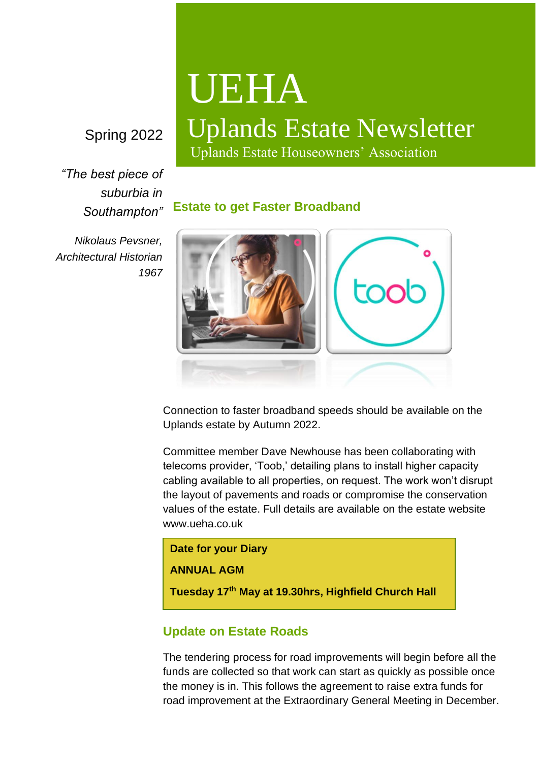## Spring 2022

*"The best piece of suburbia in Southampton"*

*Nikolaus Pevsner, Architectural Historian 1967*

# UEHA

# Uplands Estate Newsletter

Uplands Estate Houseowners' Association

**Estate to get Faster Broadband**



Connection to faster broadband speeds should be available on the Uplands estate by Autumn 2022.

Committee member Dave Newhouse has been collaborating with telecoms provider, 'Toob,' detailing plans to install higher capacity cabling available to all properties, on request. The work won't disrupt the layout of pavements and roads or compromise the conservation values of the estate. Full details are available on the estate website www.ueha.co.uk

**Date for your Diary ANNUAL AGM Tuesday 17th May at 19.30hrs, Highfield Church Hall**

### **Update on Estate Roads**

The tendering process for road improvements will begin before all the funds are collected so that work can start as quickly as possible once the money is in. This follows the agreement to raise extra funds for road improvement at the Extraordinary General Meeting in December.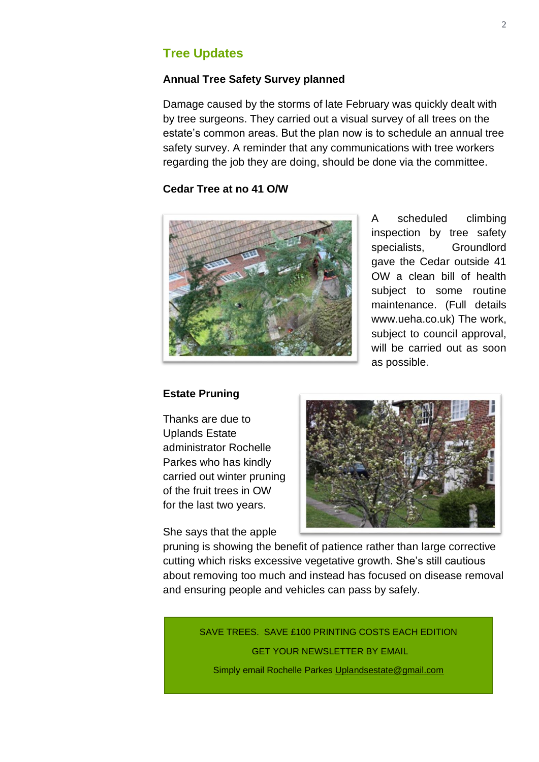#### **Tree Updates**

#### **Annual Tree Safety Survey planned**

Damage caused by the storms of late February was quickly dealt with by tree surgeons. They carried out a visual survey of all trees on the estate's common areas. But the plan now is to schedule an annual tree safety survey. A reminder that any communications with tree workers regarding the job they are doing, should be done via the committee.

#### **Cedar Tree at no 41 O/W**



A scheduled climbing inspection by tree safety specialists, Groundlord gave the Cedar outside 41 OW a clean bill of health subject to some routine maintenance. (Full details www.ueha.co.uk) The work, subject to council approval, will be carried out as soon as possible.

#### **Estate Pruning**

Thanks are due to Uplands Estate administrator Rochelle Parkes who has kindly carried out winter pruning of the fruit trees in OW for the last two years.

She says that the apple



pruning is showing the benefit of patience rather than large corrective cutting which risks excessive vegetative growth. She's still cautious about removing too much and instead has focused on disease removal and ensuring people and vehicles can pass by safely.

> SAVE TREES. SAVE £100 PRINTING COSTS EACH EDITION GET YOUR NEWSLETTER BY EMAIL

Simply email Rochelle Parkes Uplandsestate@gmail.com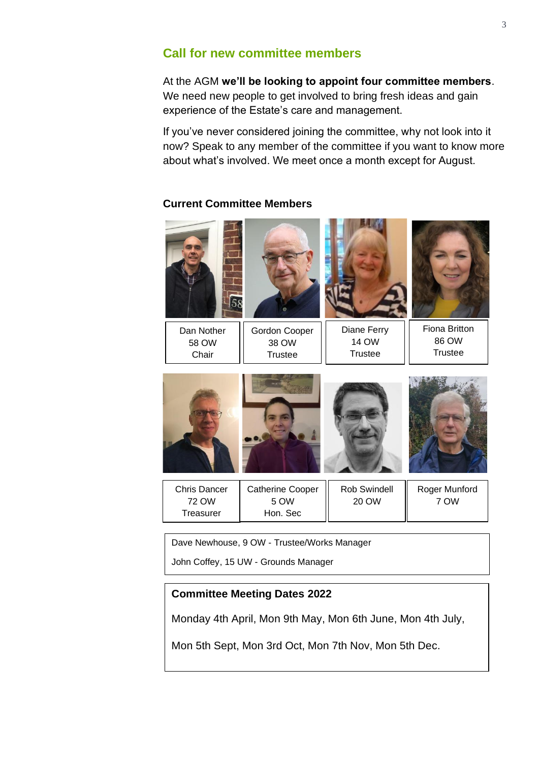#### **Call for new committee members**

At the AGM **we'll be looking to appoint four committee members**. We need new people to get involved to bring fresh ideas and gain experience of the Estate's care and management.

If you've never considered joining the committee, why not look into it now? Speak to any member of the committee if you want to know more about what's involved. We meet once a month except for August.

#### **Current Committee Members**



Dave Newhouse, 9 OW - Trustee/Works Manager

John Coffey, 15 UW - Grounds Manager

#### **Committee Meeting Dates 2022**

Monday 4th April, Mon 9th May, Mon 6th June, Mon 4th July,

Mon 5th Sept, Mon 3rd Oct, Mon 7th Nov, Mon 5th Dec.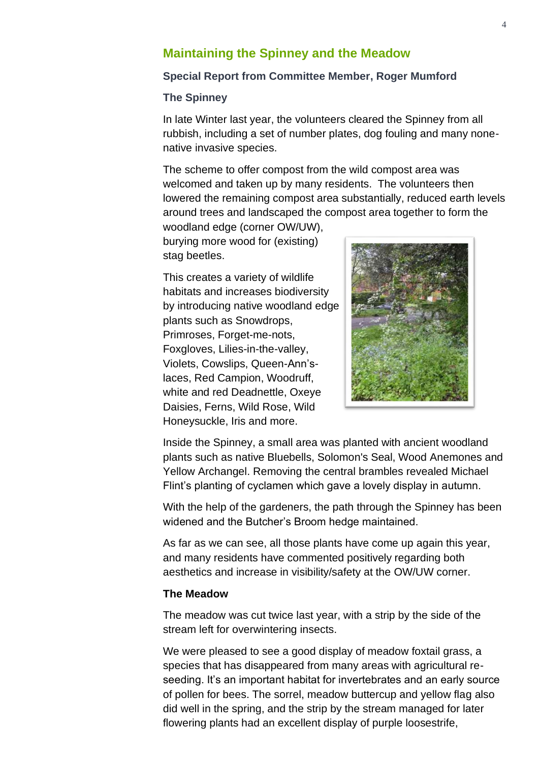#### **Maintaining the Spinney and the Meadow**

#### **Special Report from Committee Member, Roger Mumford**

#### **The Spinney**

In late Winter last year, the volunteers cleared the Spinney from all rubbish, including a set of number plates, dog fouling and many nonenative invasive species.

The scheme to offer compost from the wild compost area was welcomed and taken up by many residents. The volunteers then lowered the remaining compost area substantially, reduced earth levels around trees and landscaped the compost area together to form the

woodland edge (corner OW/UW), burying more wood for (existing) stag beetles.

This creates a variety of wildlife habitats and increases biodiversity by introducing native woodland edge plants such as Snowdrops, Primroses, Forget-me-nots, Foxgloves, Lilies-in-the-valley, Violets, Cowslips, Queen-Ann'slaces, Red Campion, Woodruff, white and red Deadnettle, Oxeye Daisies, Ferns, Wild Rose, Wild Honeysuckle, Iris and more.



Inside the Spinney, a small area was planted with ancient woodland plants such as native Bluebells, Solomon's Seal, Wood Anemones and Yellow Archangel. Removing the central brambles revealed Michael Flint's planting of cyclamen which gave a lovely display in autumn.

With the help of the gardeners, the path through the Spinney has been widened and the Butcher's Broom hedge maintained.

As far as we can see, all those plants have come up again this year, and many residents have commented positively regarding both aesthetics and increase in visibility/safety at the OW/UW corner.

#### **The Meadow**

The meadow was cut twice last year, with a strip by the side of the stream left for overwintering insects.

We were pleased to see a good display of meadow foxtail grass, a species that has disappeared from many areas with agricultural reseeding. It's an important habitat for invertebrates and an early source of pollen for bees. The sorrel, meadow buttercup and yellow flag also did well in the spring, and the strip by the stream managed for later flowering plants had an excellent display of purple loosestrife,